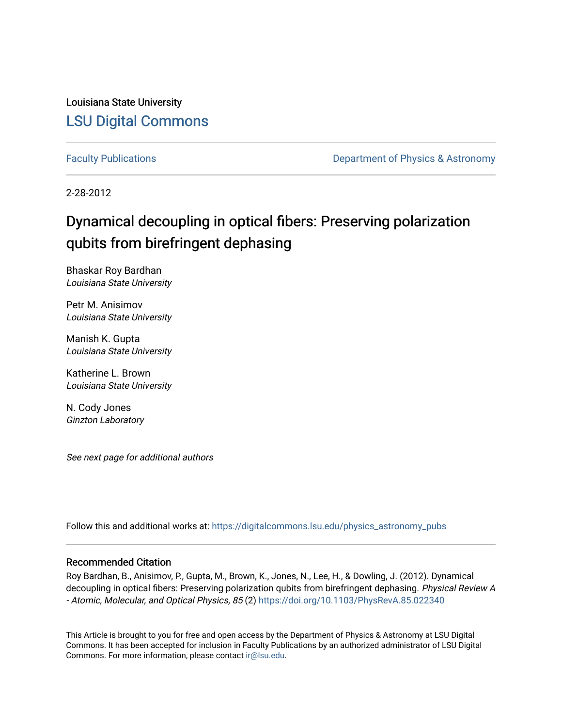Louisiana State University [LSU Digital Commons](https://digitalcommons.lsu.edu/)

[Faculty Publications](https://digitalcommons.lsu.edu/physics_astronomy_pubs) **Exercise 2 and Table 2 and Table 2 and Table 2 and Table 2 and Table 2 and Table 2 and Table 2 and Table 2 and Table 2 and Table 2 and Table 2 and Table 2 and Table 2 and Table 2 and Table 2 and Table** 

2-28-2012

# Dynamical decoupling in optical fibers: Preserving polarization qubits from birefringent dephasing

Bhaskar Roy Bardhan Louisiana State University

Petr M. Anisimov Louisiana State University

Manish K. Gupta Louisiana State University

Katherine L. Brown Louisiana State University

N. Cody Jones Ginzton Laboratory

See next page for additional authors

Follow this and additional works at: [https://digitalcommons.lsu.edu/physics\\_astronomy\\_pubs](https://digitalcommons.lsu.edu/physics_astronomy_pubs?utm_source=digitalcommons.lsu.edu%2Fphysics_astronomy_pubs%2F3125&utm_medium=PDF&utm_campaign=PDFCoverPages) 

# Recommended Citation

Roy Bardhan, B., Anisimov, P., Gupta, M., Brown, K., Jones, N., Lee, H., & Dowling, J. (2012). Dynamical decoupling in optical fibers: Preserving polarization qubits from birefringent dephasing. Physical Review A - Atomic, Molecular, and Optical Physics, 85 (2) <https://doi.org/10.1103/PhysRevA.85.022340>

This Article is brought to you for free and open access by the Department of Physics & Astronomy at LSU Digital Commons. It has been accepted for inclusion in Faculty Publications by an authorized administrator of LSU Digital Commons. For more information, please contact [ir@lsu.edu](mailto:ir@lsu.edu).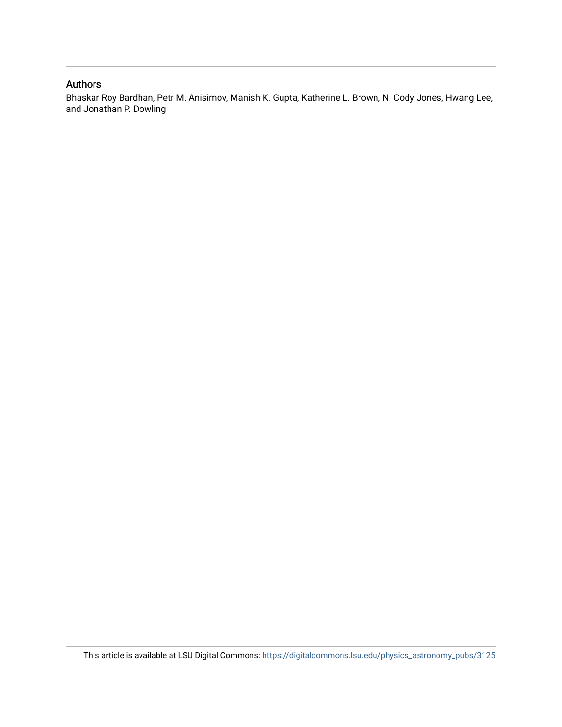# Authors

Bhaskar Roy Bardhan, Petr M. Anisimov, Manish K. Gupta, Katherine L. Brown, N. Cody Jones, Hwang Lee, and Jonathan P. Dowling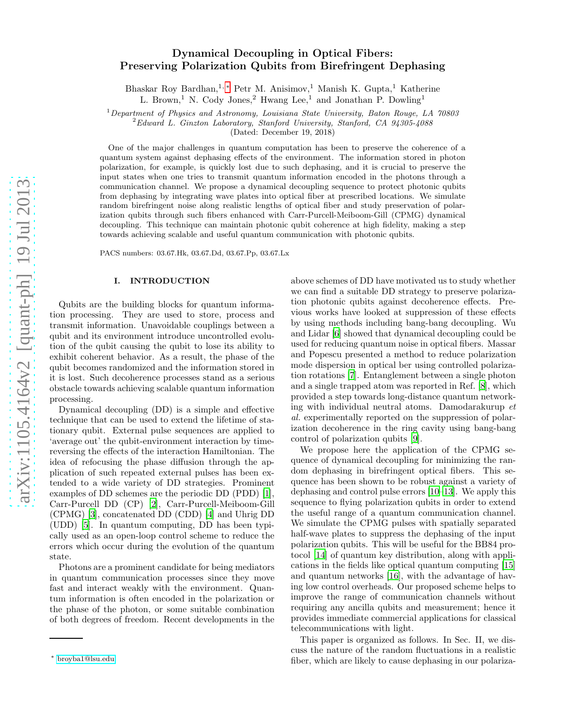# Dynamical Decoupling in Optical Fibers: Preserving Polarization Qubits from Birefringent Dephasing

Bhaskar Roy Bardhan,<sup>1,\*</sup> Petr M. Anisimov,<sup>1</sup> Manish K. Gupta,<sup>1</sup> Katherine

L. Brown,<sup>1</sup> N. Cody Jones,<sup>2</sup> Hwang Lee,<sup>1</sup> and Jonathan P. Dowling<sup>1</sup>

 $1$ Department of Physics and Astronomy, Louisiana State University, Baton Rouge, LA 70803

 $^{2}$ Edward L. Ginzton Laboratory, Stanford University, Stanford, CA 94305-4088

(Dated: December 19, 2018)

One of the major challenges in quantum computation has been to preserve the coherence of a quantum system against dephasing effects of the environment. The information stored in photon polarization, for example, is quickly lost due to such dephasing, and it is crucial to preserve the input states when one tries to transmit quantum information encoded in the photons through a communication channel. We propose a dynamical decoupling sequence to protect photonic qubits from dephasing by integrating wave plates into optical fiber at prescribed locations. We simulate random birefringent noise along realistic lengths of optical fiber and study preservation of polarization qubits through such fibers enhanced with Carr-Purcell-Meiboom-Gill (CPMG) dynamical decoupling. This technique can maintain photonic qubit coherence at high fidelity, making a step towards achieving scalable and useful quantum communication with photonic qubits.

PACS numbers: 03.67.Hk, 03.67.Dd, 03.67.Pp, 03.67.Lx

#### I. INTRODUCTION

Qubits are the building blocks for quantum information processing. They are used to store, process and transmit information. Unavoidable couplings between a qubit and its environment introduce uncontrolled evolution of the qubit causing the qubit to lose its ability to exhibit coherent behavior. As a result, the phase of the qubit becomes randomized and the information stored in it is lost. Such decoherence processes stand as a serious obstacle towards achieving scalable quantum information processing.

Dynamical decoupling (DD) is a simple and effective technique that can be used to extend the lifetime of stationary qubit. External pulse sequences are applied to 'average out' the qubit-environment interaction by timereversing the effects of the interaction Hamiltonian. The idea of refocusing the phase diffusion through the application of such repeated external pulses has been extended to a wide variety of DD strategies. Prominent examples of DD schemes are the periodic DD (PDD) [\[1\]](#page-8-0), Carr-Purcell DD (CP) [\[2\]](#page-8-1), Carr-Purcell-Meiboom-Gill (CPMG) [\[3\]](#page-8-2), concatenated DD (CDD) [\[4](#page-8-3)] and Uhrig DD (UDD) [\[5](#page-8-4)]. In quantum computing, DD has been typically used as an open-loop control scheme to reduce the errors which occur during the evolution of the quantum state.

Photons are a prominent candidate for being mediators in quantum communication processes since they move fast and interact weakly with the environment. Quantum information is often encoded in the polarization or the phase of the photon, or some suitable combination of both degrees of freedom. Recent developments in the

above schemes of DD have motivated us to study whether we can find a suitable DD strategy to preserve polarization photonic qubits against decoherence effects. Previous works have looked at suppression of these effects by using methods including bang-bang decoupling. Wu and Lidar [\[6\]](#page-8-5) showed that dynamical decoupling could be used for reducing quantum noise in optical fibers. Massar and Popescu presented a method to reduce polarization mode dispersion in optical ber using controlled polarization rotations [\[7](#page-8-6)]. Entanglement between a single photon and a single trapped atom was reported in Ref. [\[8\]](#page-8-7), which provided a step towards long-distance quantum networking with individual neutral atoms. Damodarakurup et al. experimentally reported on the suppression of polarization decoherence in the ring cavity using bang-bang control of polarization qubits [\[9\]](#page-8-8).

We propose here the application of the CPMG sequence of dynamical decoupling for minimizing the random dephasing in birefringent optical fibers. This sequence has been shown to be robust against a variety of dephasing and control pulse errors [\[10](#page-8-9)[–13\]](#page-8-10). We apply this sequence to flying polarization qubits in order to extend the useful range of a quantum communication channel. We simulate the CPMG pulses with spatially separated half-wave plates to suppress the dephasing of the input polarization qubits. This will be useful for the BB84 protocol [\[14](#page-8-11)] of quantum key distribution, along with applications in the fields like optical quantum computing [\[15](#page-8-12)] and quantum networks [\[16](#page-8-13)], with the advantage of having low control overheads. Our proposed scheme helps to improve the range of communication channels without requiring any ancilla qubits and measurement; hence it provides immediate commercial applications for classical telecommunications with light.

This paper is organized as follows. In Sec. II, we discuss the nature of the random fluctuations in a realistic fiber, which are likely to cause dephasing in our polariza-

<span id="page-2-0"></span><sup>∗</sup> [broyba1@lsu.edu](mailto:broyba1@lsu.edu)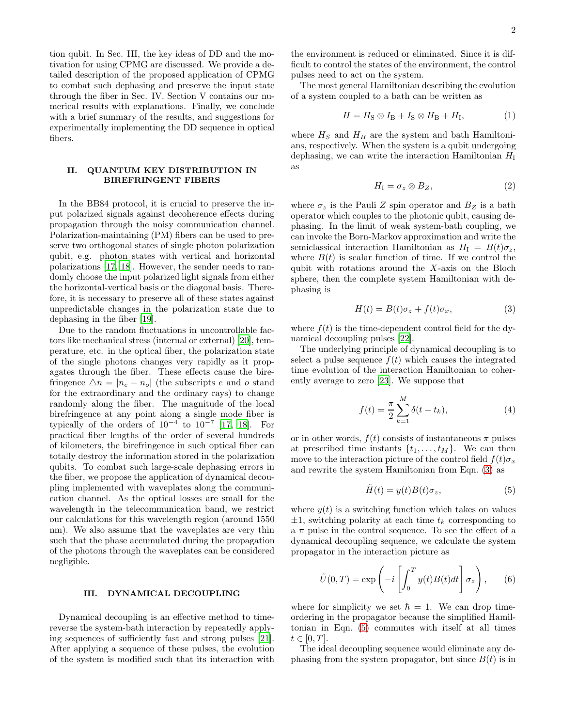tion qubit. In Sec. III, the key ideas of DD and the motivation for using CPMG are discussed. We provide a detailed description of the proposed application of CPMG to combat such dephasing and preserve the input state through the fiber in Sec. IV. Section V contains our numerical results with explanations. Finally, we conclude with a brief summary of the results, and suggestions for experimentally implementing the DD sequence in optical fibers.

## II. QUANTUM KEY DISTRIBUTION IN BIREFRINGENT FIBERS

In the BB84 protocol, it is crucial to preserve the input polarized signals against decoherence effects during propagation through the noisy communication channel. Polarization-maintaining (PM) fibers can be used to preserve two orthogonal states of single photon polarization qubit, e.g. photon states with vertical and horizontal polarizations [\[17,](#page-8-14) [18\]](#page-8-15). However, the sender needs to randomly choose the input polarized light signals from either the horizontal-vertical basis or the diagonal basis. Therefore, it is necessary to preserve all of these states against unpredictable changes in the polarization state due to dephasing in the fiber [\[19\]](#page-8-16).

Due to the random fluctuations in uncontrollable factors like mechanical stress (internal or external) [\[20](#page-8-17)], temperature, etc. in the optical fiber, the polarization state of the single photons changes very rapidly as it propagates through the fiber. These effects cause the birefringence  $\Delta n = |n_e - n_o|$  (the subscripts e and o stand for the extraordinary and the ordinary rays) to change randomly along the fiber. The magnitude of the local birefringence at any point along a single mode fiber is typically of the orders of  $10^{-4}$  to  $10^{-7}$  [\[17,](#page-8-14) [18](#page-8-15)]. For practical fiber lengths of the order of several hundreds of kilometers, the birefringence in such optical fiber can totally destroy the information stored in the polarization qubits. To combat such large-scale dephasing errors in the fiber, we propose the application of dynamical decoupling implemented with waveplates along the communication channel. As the optical losses are small for the wavelength in the telecommunication band, we restrict our calculations for this wavelength region (around 1550 nm). We also assume that the waveplates are very thin such that the phase accumulated during the propagation of the photons through the waveplates can be considered negligible.

#### III. DYNAMICAL DECOUPLING

Dynamical decoupling is an effective method to timereverse the system-bath interaction by repeatedly applying sequences of sufficiently fast and strong pulses [\[21\]](#page-8-18). After applying a sequence of these pulses, the evolution of the system is modified such that its interaction with

the environment is reduced or eliminated. Since it is difficult to control the states of the environment, the control pulses need to act on the system.

The most general Hamiltonian describing the evolution of a system coupled to a bath can be written as

$$
H = H_{\rm S} \otimes I_{\rm B} + I_{\rm S} \otimes H_{\rm B} + H_{\rm I},\tag{1}
$$

where  $H<sub>S</sub>$  and  $H<sub>B</sub>$  are the system and bath Hamiltonians, respectively. When the system is a qubit undergoing dephasing, we can write the interaction Hamiltonian  $H<sub>I</sub>$ as

$$
H_{\rm I} = \sigma_z \otimes B_Z, \tag{2}
$$

where  $\sigma_z$  is the Pauli Z spin operator and  $B_Z$  is a bath operator which couples to the photonic qubit, causing dephasing. In the limit of weak system-bath coupling, we can invoke the Born-Markov approximation and write the semiclassical interaction Hamiltonian as  $H_{I} = B(t)\sigma_{z}$ , where  $B(t)$  is scalar function of time. If we control the qubit with rotations around the X-axis on the Bloch sphere, then the complete system Hamiltonian with dephasing is

<span id="page-3-0"></span>
$$
H(t) = B(t)\sigma_z + f(t)\sigma_x, \tag{3}
$$

where  $f(t)$  is the time-dependent control field for the dynamical decoupling pulses [\[22](#page-8-19)].

The underlying principle of dynamical decoupling is to select a pulse sequence  $f(t)$  which causes the integrated time evolution of the interaction Hamiltonian to coherently average to zero [\[23\]](#page-8-20). We suppose that

$$
f(t) = \frac{\pi}{2} \sum_{k=1}^{M} \delta(t - t_k),
$$
 (4)

or in other words,  $f(t)$  consists of instantaneous  $\pi$  pulses at prescribed time instants  $\{t_1, \ldots, t_M\}$ . We can then move to the interaction picture of the control field  $f(t)\sigma_x$ and rewrite the system Hamiltonian from Eqn. [\(3\)](#page-3-0) as

<span id="page-3-1"></span>
$$
\tilde{H}(t) = y(t)B(t)\sigma_z,\tag{5}
$$

where  $y(t)$  is a switching function which takes on values  $\pm 1$ , switching polarity at each time  $t_k$  corresponding to a  $\pi$  pulse in the control sequence. To see the effect of a dynamical decoupling sequence, we calculate the system propagator in the interaction picture as

$$
\tilde{U}(0,T) = \exp\left(-i \left[ \int_0^T y(t)B(t)dt \right] \sigma_z \right), \qquad (6)
$$

where for simplicity we set  $\hbar = 1$ . We can drop timeordering in the propagator because the simplified Hamiltonian in Eqn. [\(5\)](#page-3-1) commutes with itself at all times  $t \in [0, T]$ .

The ideal decoupling sequence would eliminate any dephasing from the system propagator, but since  $B(t)$  is in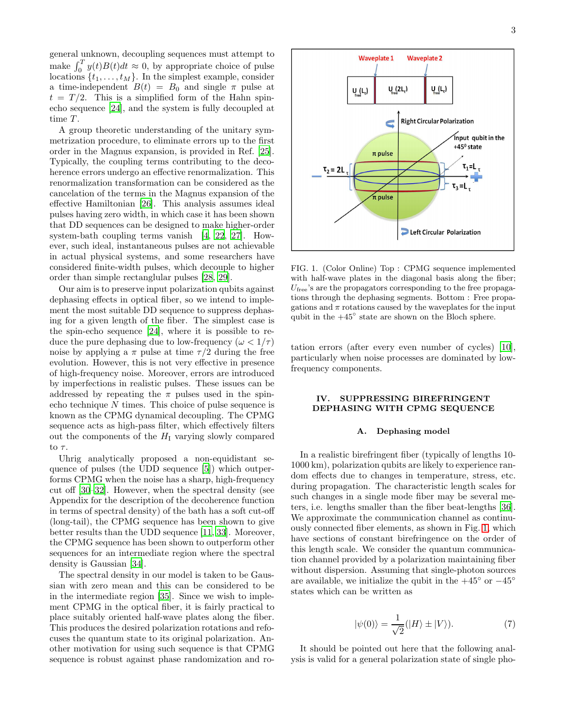general unknown, decoupling sequences must attempt to make  $\int_0^T y(t)B(t)dt \approx 0$ , by appropriate choice of pulse locations  $\{t_1, \ldots, t_M\}$ . In the simplest example, consider a time-independent  $B(t) = B_0$  and single  $\pi$  pulse at  $t = T/2$ . This is a simplified form of the Hahn spinecho sequence [\[24\]](#page-8-21), and the system is fully decoupled at time  $T$ .

A group theoretic understanding of the unitary symmetrization procedure, to eliminate errors up to the first order in the Magnus expansion, is provided in Ref. [\[25\]](#page-8-22). Typically, the coupling terms contributing to the decoherence errors undergo an effective renormalization. This renormalization transformation can be considered as the cancelation of the terms in the Magnus expansion of the effective Hamiltonian [\[26\]](#page-8-23). This analysis assumes ideal pulses having zero width, in which case it has been shown that DD sequences can be designed to make higher-order system-bath coupling terms vanish [\[4](#page-8-3), [22,](#page-8-19) [27](#page-9-0)]. However, such ideal, instantaneous pulses are not achievable in actual physical systems, and some researchers have considered finite-width pulses, which decouple to higher order than simple rectanglular pulses [\[28,](#page-9-1) [29](#page-9-2)].

Our aim is to preserve input polarization qubits against dephasing effects in optical fiber, so we intend to implement the most suitable DD sequence to suppress dephasing for a given length of the fiber. The simplest case is the spin-echo sequence [\[24\]](#page-8-21), where it is possible to reduce the pure dephasing due to low-frequency ( $\omega < 1/\tau$ ) noise by applying a  $\pi$  pulse at time  $\tau/2$  during the free evolution. However, this is not very effective in presence of high-frequency noise. Moreover, errors are introduced by imperfections in realistic pulses. These issues can be addressed by repeating the  $\pi$  pulses used in the spinecho technique N times. This choice of pulse sequence is known as the CPMG dynamical decoupling. The CPMG sequence acts as high-pass filter, which effectively filters out the components of the  $H<sub>I</sub>$  varying slowly compared to  $\tau$ .

Uhrig analytically proposed a non-equidistant sequence of pulses (the UDD sequence [\[5\]](#page-8-4)) which outperforms CPMG when the noise has a sharp, high-frequency cut off [\[30](#page-9-3)[–32](#page-9-4)]. However, when the spectral density (see Appendix for the description of the decoherence function in terms of spectral density) of the bath has a soft cut-off (long-tail), the CPMG sequence has been shown to give better results than the UDD sequence [\[11,](#page-8-24) [33](#page-9-5)]. Moreover, the CPMG sequence has been shown to outperform other sequences for an intermediate region where the spectral density is Gaussian [\[34\]](#page-9-6).

The spectral density in our model is taken to be Gaussian with zero mean and this can be considered to be in the intermediate region [\[35\]](#page-9-7). Since we wish to implement CPMG in the optical fiber, it is fairly practical to place suitably oriented half-wave plates along the fiber. This produces the desired polarization rotations and refocuses the quantum state to its original polarization. Another motivation for using such sequence is that CPMG sequence is robust against phase randomization and ro-



<span id="page-4-0"></span>FIG. 1. (Color Online) Top : CPMG sequence implemented with half-wave plates in the diagonal basis along the fiber;  $U_{\text{free}}$ 's are the propagators corresponding to the free propagations through the dephasing segments. Bottom : Free propagations and  $\pi$  rotations caused by the waveplates for the input qubit in the  $+45^\circ$  state are shown on the Bloch sphere.

tation errors (after every even number of cycles) [\[10\]](#page-8-9), particularly when noise processes are dominated by lowfrequency components.

#### IV. SUPPRESSING BIREFRINGENT DEPHASING WITH CPMG SEQUENCE

#### A. Dephasing model

In a realistic birefringent fiber (typically of lengths 10- 1000 km), polarization qubits are likely to experience random effects due to changes in temperature, stress, etc. during propagation. The characteristic length scales for such changes in a single mode fiber may be several meters, i.e. lengths smaller than the fiber beat-lengths [\[36\]](#page-9-8). We approximate the communication channel as continuously connected fiber elements, as shown in Fig. [1,](#page-4-0) which have sections of constant birefringence on the order of this length scale. We consider the quantum communication channel provided by a polarization maintaining fiber without dispersion. Assuming that single-photon sources are available, we initialize the qubit in the  $+45°$  or  $-45°$ states which can be written as

$$
|\psi(0)\rangle = \frac{1}{\sqrt{2}}(|H\rangle \pm |V\rangle). \tag{7}
$$

It should be pointed out here that the following analysis is valid for a general polarization state of single pho-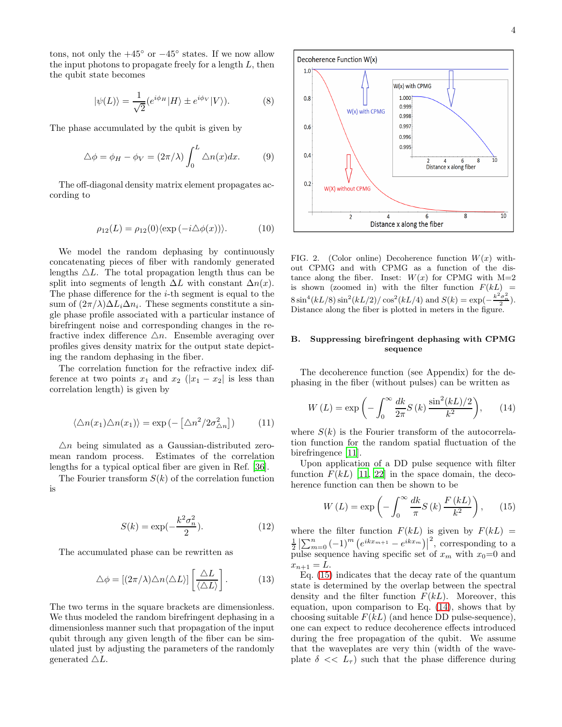tons, not only the  $+45^\circ$  or  $-45^\circ$  states. If we now allow the input photons to propagate freely for a length  $L$ , then the qubit state becomes

$$
|\psi(L)\rangle = \frac{1}{\sqrt{2}} (e^{i\phi_H} |H\rangle \pm e^{i\phi_V} |V\rangle). \tag{8}
$$

The phase accumulated by the qubit is given by

$$
\triangle \phi = \phi_H - \phi_V = (2\pi/\lambda) \int_0^L \triangle n(x) dx.
$$
 (9)

The off-diagonal density matrix element propagates according to

$$
\rho_{12}(L) = \rho_{12}(0) \langle \exp(-i\Delta\phi(x)) \rangle.
$$
 (10)

We model the random dephasing by continuously concatenating pieces of fiber with randomly generated lengths  $\Delta L$ . The total propagation length thus can be split into segments of length  $\Delta L$  with constant  $\Delta n(x)$ . The phase difference for the i-th segment is equal to the sum of  $(2\pi/\lambda)\Delta L_i\Delta n_i$ . These segments constitute a single phase profile associated with a particular instance of birefringent noise and corresponding changes in the refractive index difference  $\Delta n$ . Ensemble averaging over profiles gives density matrix for the output state depicting the random dephasing in the fiber.

The correlation function for the refractive index difference at two points  $x_1$  and  $x_2$  ( $|x_1 - x_2|$  is less than correlation length) is given by

$$
\langle \Delta n(x_1) \Delta n(x_1) \rangle = \exp\left(-\left[\Delta n^2 / 2\sigma_{\Delta n}^2\right]\right) \tag{11}
$$

 $\Delta n$  being simulated as a Gaussian-distributed zeromean random process. Estimates of the correlation lengths for a typical optical fiber are given in Ref. [\[36](#page-9-8)].

The Fourier transform  $S(k)$  of the correlation function is

$$
S(k) = \exp\left(-\frac{k^2 \sigma_n^2}{2}\right). \tag{12}
$$

The accumulated phase can be rewritten as

$$
\triangle \phi = \left[ (2\pi/\lambda) \triangle n \langle \triangle L \rangle \right] \left[ \frac{\triangle L}{\langle \triangle L \rangle} \right]. \tag{13}
$$

The two terms in the square brackets are dimensionless. We thus modeled the random birefringent dephasing in a dimensionless manner such that propagation of the input qubit through any given length of the fiber can be simulated just by adjusting the parameters of the randomly generated  $\triangle L$ .



FIG. 2. (Color online) Decoherence function  $W(x)$  without CPMG and with CPMG as a function of the distance along the fiber. Inset:  $W(x)$  for CPMG with  $M=2$ is shown (zoomed in) with the filter function  $F(kL)$  =  $8\sin^4(kL/8)\sin^2(kL/2)/\cos^2(kL/4)$  and  $S(k) = \exp(-\frac{k^2\sigma_1^2}{2})$ . Distance along the fiber is plotted in meters in the figure.

## B. Suppressing birefringent dephasing with CPMG sequence

The decoherence function (see Appendix) for the dephasing in the fiber (without pulses) can be written as

<span id="page-5-1"></span>
$$
W\left(L\right) = \exp\left(-\int_0^\infty \frac{dk}{2\pi} S\left(k\right) \frac{\sin^2(kL)/2}{k^2}\right),\qquad(14)
$$

where  $S(k)$  is the Fourier transform of the autocorrelation function for the random spatial fluctuation of the birefringence [\[11\]](#page-8-24).

Upon application of a DD pulse sequence with filter function  $F(kL)$  [\[11](#page-8-24), [22](#page-8-19)] in the space domain, the decoherence function can then be shown to be

<span id="page-5-0"></span>
$$
W\left(L\right) = \exp\left(-\int_0^\infty \frac{dk}{\pi} S\left(k\right) \frac{F\left(kL\right)}{k^2}\right),\qquad(15)
$$

where the filter function  $F(kL)$  is given by  $F(kL)$  =  $\frac{1}{2} \left| \sum_{m=0}^{n} (-1)^{m} \left( e^{ikx_{m+1}} - e^{ikx_{m}} \right) \right|$ <sup>2</sup>, corresponding to a pulse sequence having specific set of  $x_m$  with  $x_0=0$  and  $x_{n+1} = L.$ 

Eq. [\(15\)](#page-5-0) indicates that the decay rate of the quantum state is determined by the overlap between the spectral density and the filter function  $F(kL)$ . Moreover, this equation, upon comparison to Eq. [\(14\)](#page-5-1), shows that by choosing suitable  $F(kL)$  (and hence DD pulse-sequence), one can expect to reduce decoherence effects introduced during the free propagation of the qubit. We assume that the waveplates are very thin (width of the waveplate  $\delta \ll L_{\tau}$ ) such that the phase difference during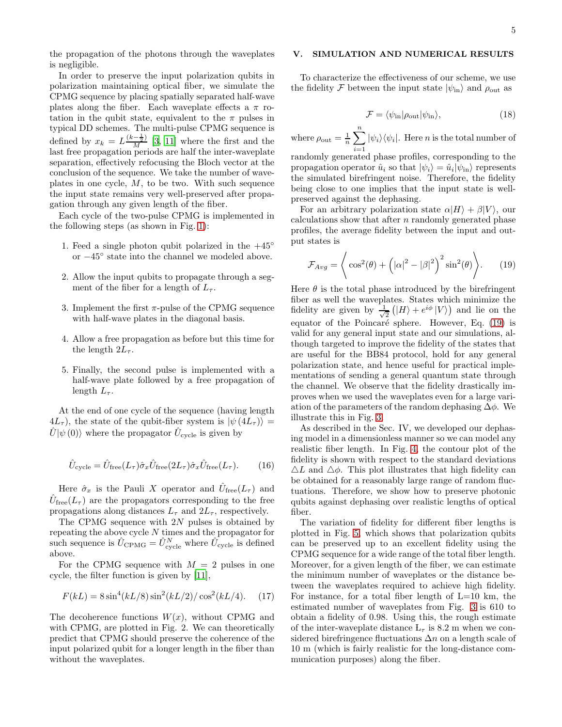the propagation of the photons through the waveplates is negligible.

In order to preserve the input polarization qubits in polarization maintaining optical fiber, we simulate the CPMG sequence by placing spatially separated half-wave plates along the fiber. Each waveplate effects a  $\pi$  rotation in the qubit state, equivalent to the  $\pi$  pulses in typical DD schemes. The multi-pulse CPMG sequence is defined by  $x_k = L \frac{(k - \frac{1}{2})}{M}$  [\[3](#page-8-2), [11\]](#page-8-24) where the first and the last free propagation periods are half the inter-waveplate separation, effectively refocusing the Bloch vector at the conclusion of the sequence. We take the number of waveplates in one cycle,  $M$ , to be two. With such sequence the input state remains very well-preserved after propagation through any given length of the fiber.

Each cycle of the two-pulse CPMG is implemented in the following steps (as shown in Fig. [1\)](#page-4-0):

- 1. Feed a single photon qubit polarized in the  $+45°$ or −45◦ state into the channel we modeled above.
- 2. Allow the input qubits to propagate through a segment of the fiber for a length of  $L_{\tau}$ .
- 3. Implement the first  $\pi$ -pulse of the CPMG sequence with half-wave plates in the diagonal basis.
- 4. Allow a free propagation as before but this time for the length  $2L_{\tau}$ .
- 5. Finally, the second pulse is implemented with a half-wave plate followed by a free propagation of length  $L_{\tau}$ .

At the end of one cycle of the sequence (having length  $4L_{\tau}$ ), the state of the qubit-fiber system is  $|\psi(4L_{\tau})\rangle =$  $\hat{U}|\psi(0)\rangle$  where the propagator  $\hat{U}_{\text{cycle}}$  is given by

$$
\hat{U}_{\text{cycle}} = \hat{U}_{\text{free}}(L_{\tau})\hat{\sigma}_x \hat{U}_{\text{free}}(2L_{\tau})\hat{\sigma}_x \hat{U}_{\text{free}}(L_{\tau}).\tag{16}
$$

Here  $\hat{\sigma}_x$  is the Pauli X operator and  $\hat{U}_{\text{free}}(L_{\tau})$  and  $\hat{U}_{\text{free}}(L_{\tau})$  are the propagators corresponding to the free propagations along distances  $L_{\tau}$  and  $2L_{\tau}$ , respectively.

The CPMG sequence with  $2N$  pulses is obtained by repeating the above cycle N times and the propagator for such sequence is  $\hat{U}_{\text{CPMG}} = \hat{U}_{\text{cycle}}^N$  where  $\hat{U}_{\text{cycle}}$  is defined above.

For the CPMG sequence with  $M = 2$  pulses in one cycle, the filter function is given by [\[11](#page-8-24)],

$$
F(kL) = 8\sin^4(kL/8)\sin^2(kL/2)/\cos^2(kL/4). \quad (17)
$$

The decoherence functions  $W(x)$ , without CPMG and with CPMG, are plotted in Fig. 2. We can theoretically predict that CPMG should preserve the coherence of the input polarized qubit for a longer length in the fiber than without the waveplates.

## V. SIMULATION AND NUMERICAL RESULTS

To characterize the effectiveness of our scheme, we use the fidelity F between the input state  $|\psi_{\text{in}}\rangle$  and  $\rho_{\text{out}}$  as

$$
\mathcal{F} = \langle \psi_{\text{in}} | \rho_{\text{out}} | \psi_{\text{in}} \rangle, \tag{18}
$$

where  $\rho_{\text{out}} = \frac{1}{n} \sum_{n=1}^{\infty}$  $\sum_{i=1} | \psi_i \rangle \langle \psi_i |$ . Here *n* is the total number of randomly generated phase profiles, corresponding to the propagation operator  $\hat{u}_i$  so that  $|\psi_i\rangle = \hat{u}_i |\psi_{\rm in}\rangle$  represents the simulated birefringent noise. Therefore, the fidelity being close to one implies that the input state is well-

preserved against the dephasing. For an arbitrary polarization state  $\alpha|H\rangle + \beta|V\rangle$ , our calculations show that after  $n$  randomly generated phase profiles, the average fidelity between the input and output states is

<span id="page-6-0"></span>
$$
\mathcal{F}_{Avg} = \left\langle \cos^2(\theta) + \left( |\alpha|^2 - |\beta|^2 \right)^2 \sin^2(\theta) \right\rangle. \tag{19}
$$

Here  $\theta$  is the total phase introduced by the birefringent fiber as well the waveplates. States which minimize the fidelity are given by  $\frac{1}{\sqrt{2}}$  $\frac{1}{2}(|H\rangle + e^{i\phi}|V\rangle)$  and lie on the equator of the Poincaré sphere. However, Eq.  $(19)$  is valid for any general input state and our simulations, although targeted to improve the fidelity of the states that are useful for the BB84 protocol, hold for any general polarization state, and hence useful for practical implementations of sending a general quantum state through the channel. We observe that the fidelity drastically improves when we used the waveplates even for a large variation of the parameters of the random dephasing  $\Delta\phi$ . We illustrate this in Fig. [3.](#page-7-0)

As described in the Sec. IV, we developed our dephasing model in a dimensionless manner so we can model any realistic fiber length. In Fig. [4,](#page-7-1) the contour plot of the fidelity is shown with respect to the standard deviations  $\Delta L$  and  $\Delta \phi$ . This plot illustrates that high fidelity can be obtained for a reasonably large range of random fluctuations. Therefore, we show how to preserve photonic qubits against dephasing over realistic lengths of optical fiber.

The variation of fidelity for different fiber lengths is plotted in Fig. [5,](#page-7-2) which shows that polarization qubits can be preserved up to an excellent fidelity using the CPMG sequence for a wide range of the total fiber length. Moreover, for a given length of the fiber, we can estimate the minimum number of waveplates or the distance between the waveplates required to achieve high fidelity. For instance, for a total fiber length of  $L=10$  km, the estimated number of waveplates from Fig. [3](#page-7-0) is 610 to obtain a fidelity of 0.98. Using this, the rough estimate of the inter-waveplate distance  $L_{\tau}$  is 8.2 m when we considered birefringence fluctuations  $\Delta n$  on a length scale of 10 m (which is fairly realistic for the long-distance communication purposes) along the fiber.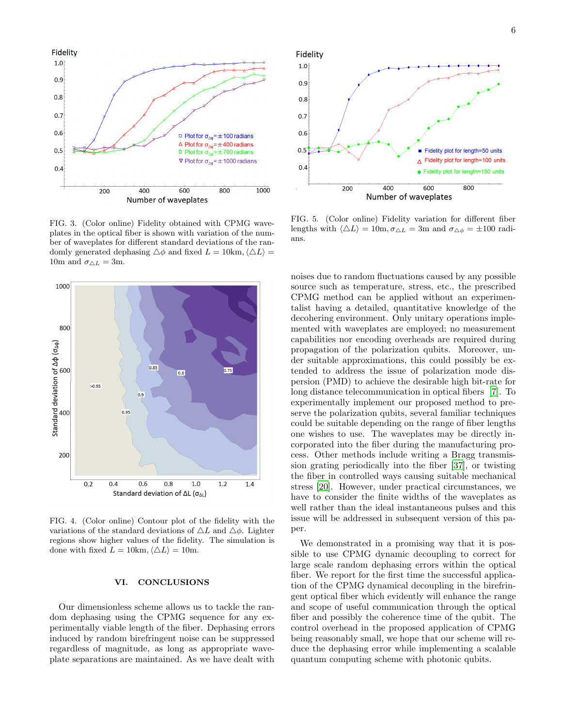

<span id="page-7-0"></span>FIG. 3. (Color online) Fidelity obtained with CPMG waveplates in the optical fiber is shown with variation of the number of waveplates for different standard deviations of the randomly generated dephasing  $\triangle \phi$  and fixed  $L = 10 \text{km}, \langle \triangle L \rangle =$ 10m and  $\sigma_{\triangle L} = 3$ m.



<span id="page-7-1"></span>FIG. 4. (Color online) Contour plot of the fidelity with the variations of the standard deviations of  $\Delta L$  and  $\Delta \phi$ . Lighter regions show higher values of the fidelity. The simulation is done with fixed  $L = 10 \text{km}, \langle \Delta L \rangle = 10 \text{m}.$ 

#### VI. CONCLUSIONS

Our dimensionless scheme allows us to tackle the random dephasing using the CPMG sequence for any experimentally viable length of the fiber. Dephasing errors induced by random birefringent noise can be suppressed regardless of magnitude, as long as appropriate waveplate separations are maintained. As we have dealt with



<span id="page-7-2"></span>FIG. 5. (Color online) Fidelity variation for different fiber lengths with  $\langle \Delta L \rangle = 10$ m,  $\sigma_{\Delta L} = 3$ m and  $\sigma_{\Delta \phi} = \pm 100$  radians.

noises due to random fluctuations caused by any possible source such as temperature, stress, etc., the prescribed CPMG method can be applied without an experimentalist having a detailed, quantitative knowledge of the decohering environment. Only unitary operations implemented with waveplates are employed; no measurement capabilities nor encoding overheads are required during propagation of the polarization qubits. Moreover, under suitable approximations, this could possibly be extended to address the issue of polarization mode dispersion (PMD) to achieve the desirable high bit-rate for long distance telecommunication in optical fibers [\[7\]](#page-8-6). To experimentally implement our proposed method to preserve the polarization qubits, several familiar techniques could be suitable depending on the range of fiber lengths one wishes to use. The waveplates may be directly incorporated into the fiber during the manufacturing process. Other methods include writing a Bragg transmission grating periodically into the fiber [\[37](#page-9-9)], or twisting the fiber in controlled ways causing suitable mechanical stress [\[20\]](#page-8-17). However, under practical circumstances, we have to consider the finite widths of the waveplates as well rather than the ideal instantaneous pulses and this issue will be addressed in subsequent version of this paper.

We demonstrated in a promising way that it is possible to use CPMG dynamic decoupling to correct for large scale random dephasing errors within the optical fiber. We report for the first time the successful application of the CPMG dynamical decoupling in the birefringent optical fiber which evidently will enhance the range and scope of useful communication through the optical fiber and possibly the coherence time of the qubit. The control overhead in the proposed application of CPMG being reasonably small, we hope that our scheme will reduce the dephasing error while implementing a scalable quantum computing scheme with photonic qubits.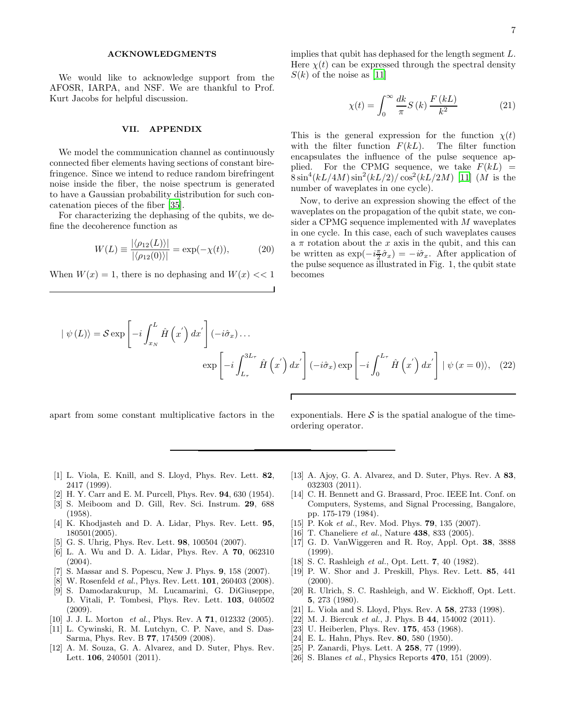#### ACKNOWLEDGMENTS

We would like to acknowledge support from the AFOSR, IARPA, and NSF. We are thankful to Prof. Kurt Jacobs for helpful discussion.

#### VII. APPENDIX

We model the communication channel as continuously connected fiber elements having sections of constant birefringence. Since we intend to reduce random birefringent noise inside the fiber, the noise spectrum is generated to have a Gaussian probability distribution for such concatenation pieces of the fiber [\[35\]](#page-9-7).

For characterizing the dephasing of the qubits, we define the decoherence function as

$$
W(L) \equiv \frac{|\langle \rho_{12}(L) \rangle|}{|\langle \rho_{12}(0) \rangle|} = \exp(-\chi(t)),\tag{20}
$$

When  $W(x) = 1$ , there is no dephasing and  $W(x) \ll 1$ 

implies that qubit has dephased for the length segment L. Here  $\chi(t)$  can be expressed through the spectral density  $S(k)$  of the noise as [\[11\]](#page-8-24)

$$
\chi(t) = \int_0^\infty \frac{dk}{\pi} S(k) \frac{F(kL)}{k^2}
$$
 (21)

This is the general expression for the function  $\chi(t)$ with the filter function  $F(kL)$ . The filter function encapsulates the influence of the pulse sequence applied. For the CPMG sequence, we take  $F(kL)$  =  $8\sin^4(kL/4M)\sin^2(kL/2)/\cos^2(kL/2M)$  [\[11\]](#page-8-24) (*M* is the number of waveplates in one cycle).

Now, to derive an expression showing the effect of the waveplates on the propagation of the qubit state, we consider a CPMG sequence implemented with M waveplates in one cycle. In this case, each of such waveplates causes a  $\pi$  rotation about the x axis in the qubit, and this can be written as  $\exp(-i\frac{\pi}{2}\hat{\sigma}_x) = -i\hat{\sigma}_x$ . After application of the pulse sequence as illustrated in Fig. 1, the qubit state becomes

$$
|\psi(L)\rangle = \mathcal{S} \exp\left[-i\int_{x_N}^L \hat{H}\left(x'\right)dx'\right](-i\hat{\sigma}_x)\dots
$$

$$
\exp\left[-i\int_{L_{\tau}}^{3L_{\tau}} \hat{H}\left(x'\right)dx'\right](-i\hat{\sigma}_x)\exp\left[-i\int_{0}^{L_{\tau}} \hat{H}\left(x'\right)dx'\right]|\psi(x=0)\rangle, (22)
$$

Г

apart from some constant multiplicative factors in the exponentials. Here  $S$  is the spatial analogue of the timeordering operator.

- <span id="page-8-0"></span>[1] L. Viola, E. Knill, and S. Lloyd, Phys. Rev. Lett. 82, 2417 (1999).
- <span id="page-8-1"></span>[2] H. Y. Carr and E. M. Purcell, Phys. Rev. 94, 630 (1954).
- <span id="page-8-2"></span>[3] S. Meiboom and D. Gill, Rev. Sci. Instrum. 29, 688 (1958).
- <span id="page-8-3"></span>[4] K. Khodjasteh and D. A. Lidar, Phys. Rev. Lett. 95, 180501(2005).
- <span id="page-8-4"></span>[5] G. S. Uhrig, Phys. Rev. Lett. 98, 100504 (2007).
- <span id="page-8-5"></span>[6] L. A. Wu and D. A. Lidar, Phys. Rev. A 70, 062310  $(2004).$
- <span id="page-8-6"></span>[7] S. Massar and S. Popescu, New J. Phys. 9, 158 (2007).
- <span id="page-8-7"></span>[8] W. Rosenfeld *et al.*, Phys. Rev. Lett. **101**, 260403 (2008).
- <span id="page-8-8"></span>[9] S. Damodarakurup, M. Lucamarini, G. DiGiuseppe, D. Vitali, P. Tombesi, Phys. Rev. Lett. 103, 040502 (2009).
- <span id="page-8-9"></span>[10] J. J. L. Morton et al., Phys. Rev. A 71, 012332 (2005).
- <span id="page-8-24"></span>[11] L. Cywinski, R. M. Lutchyn, C. P. Nave, and S. Das-Sarma, Phys. Rev. B 77, 174509 (2008).
- [12] A. M. Souza, G. A. Alvarez, and D. Suter, Phys. Rev. Lett. 106, 240501 (2011).
- <span id="page-8-10"></span>[13] A. Ajoy, G. A. Alvarez, and D. Suter, Phys. Rev. A 83, 032303 (2011).
- <span id="page-8-11"></span>[14] C. H. Bennett and G. Brassard, Proc. IEEE Int. Conf. on Computers, Systems, and Signal Processing, Bangalore, pp. 175-179 (1984).
- <span id="page-8-12"></span>[15] P. Kok *et al.*, Rev. Mod. Phys. **79**, 135 (2007).
- <span id="page-8-13"></span>[16] T. Chaneliere *et al.*, Nature **438**, 833 (2005).
- <span id="page-8-14"></span>[17] G. D. VanWiggeren and R. Roy, Appl. Opt. 38, 3888 (1999).
- <span id="page-8-15"></span>[18] S. C. Rashleigh *et al.*, Opt. Lett. **7**, 40 (1982).
- <span id="page-8-16"></span>[19] P. W. Shor and J. Preskill, Phys. Rev. Lett. 85, 441 (2000).
- <span id="page-8-17"></span>[20] R. Ulrich, S. C. Rashleigh, and W. Eickhoff, Opt. Lett. 5, 273 (1980).
- <span id="page-8-18"></span>[21] L. Viola and S. Lloyd, Phys. Rev. A 58, 2733 (1998).
- <span id="page-8-19"></span>[22] M. J. Biercuk et al., J. Phys. B  $44$ , 154002 (2011).
- <span id="page-8-20"></span>[23] U. Heiberlen, Phys. Rev. **175**, 453 (1968).
- <span id="page-8-21"></span>[24] E. L. Hahn, Phys. Rev. 80, 580 (1950).
- <span id="page-8-22"></span>[25] P. Zanardi, Phys. Lett. A **258**, 77 (1999).
- <span id="page-8-23"></span>[26] S. Blanes *et al.*, Physics Reports **470**, 151 (2009).